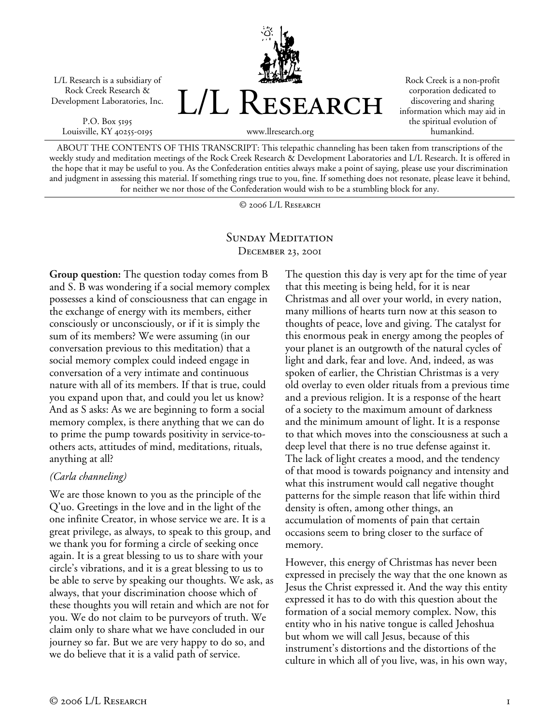L/L Research is a subsidiary of Rock Creek Research & Development Laboratories, Inc.

P.O. Box 5195 Louisville, KY 40255-0195



Rock Creek is a non-profit corporation dedicated to discovering and sharing information which may aid in the spiritual evolution of humankind.

ABOUT THE CONTENTS OF THIS TRANSCRIPT: This telepathic channeling has been taken from transcriptions of the weekly study and meditation meetings of the Rock Creek Research & Development Laboratories and L/L Research. It is offered in the hope that it may be useful to you. As the Confederation entities always make a point of saying, please use your discrimination and judgment in assessing this material. If something rings true to you, fine. If something does not resonate, please leave it behind, for neither we nor those of the Confederation would wish to be a stumbling block for any.

© 2006 L/L Research

## SUNDAY MEDITATION December 23, 2001

**Group question:** The question today comes from B and S. B was wondering if a social memory complex possesses a kind of consciousness that can engage in the exchange of energy with its members, either consciously or unconsciously, or if it is simply the sum of its members? We were assuming (in our conversation previous to this meditation) that a social memory complex could indeed engage in conversation of a very intimate and continuous nature with all of its members. If that is true, could you expand upon that, and could you let us know? And as S asks: As we are beginning to form a social memory complex, is there anything that we can do to prime the pump towards positivity in service-toothers acts, attitudes of mind, meditations, rituals, anything at all?

## *(Carla channeling)*

We are those known to you as the principle of the Q'uo. Greetings in the love and in the light of the one infinite Creator, in whose service we are. It is a great privilege, as always, to speak to this group, and we thank you for forming a circle of seeking once again. It is a great blessing to us to share with your circle's vibrations, and it is a great blessing to us to be able to serve by speaking our thoughts. We ask, as always, that your discrimination choose which of these thoughts you will retain and which are not for you. We do not claim to be purveyors of truth. We claim only to share what we have concluded in our journey so far. But we are very happy to do so, and we do believe that it is a valid path of service.

The question this day is very apt for the time of year that this meeting is being held, for it is near Christmas and all over your world, in every nation, many millions of hearts turn now at this season to thoughts of peace, love and giving. The catalyst for this enormous peak in energy among the peoples of your planet is an outgrowth of the natural cycles of light and dark, fear and love. And, indeed, as was spoken of earlier, the Christian Christmas is a very old overlay to even older rituals from a previous time and a previous religion. It is a response of the heart of a society to the maximum amount of darkness and the minimum amount of light. It is a response to that which moves into the consciousness at such a deep level that there is no true defense against it. The lack of light creates a mood, and the tendency of that mood is towards poignancy and intensity and what this instrument would call negative thought patterns for the simple reason that life within third density is often, among other things, an accumulation of moments of pain that certain occasions seem to bring closer to the surface of memory.

However, this energy of Christmas has never been expressed in precisely the way that the one known as Jesus the Christ expressed it. And the way this entity expressed it has to do with this question about the formation of a social memory complex. Now, this entity who in his native tongue is called Jehoshua but whom we will call Jesus, because of this instrument's distortions and the distortions of the culture in which all of you live, was, in his own way,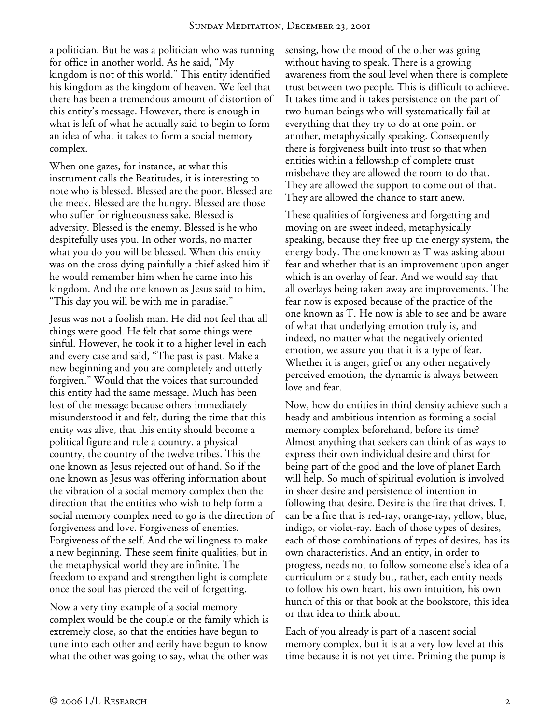a politician. But he was a politician who was running for office in another world. As he said, "My kingdom is not of this world." This entity identified his kingdom as the kingdom of heaven. We feel that there has been a tremendous amount of distortion of this entity's message. However, there is enough in what is left of what he actually said to begin to form an idea of what it takes to form a social memory complex.

When one gazes, for instance, at what this instrument calls the Beatitudes, it is interesting to note who is blessed. Blessed are the poor. Blessed are the meek. Blessed are the hungry. Blessed are those who suffer for righteousness sake. Blessed is adversity. Blessed is the enemy. Blessed is he who despitefully uses you. In other words, no matter what you do you will be blessed. When this entity was on the cross dying painfully a thief asked him if he would remember him when he came into his kingdom. And the one known as Jesus said to him, "This day you will be with me in paradise."

Jesus was not a foolish man. He did not feel that all things were good. He felt that some things were sinful. However, he took it to a higher level in each and every case and said, "The past is past. Make a new beginning and you are completely and utterly forgiven." Would that the voices that surrounded this entity had the same message. Much has been lost of the message because others immediately misunderstood it and felt, during the time that this entity was alive, that this entity should become a political figure and rule a country, a physical country, the country of the twelve tribes. This the one known as Jesus rejected out of hand. So if the one known as Jesus was offering information about the vibration of a social memory complex then the direction that the entities who wish to help form a social memory complex need to go is the direction of forgiveness and love. Forgiveness of enemies. Forgiveness of the self. And the willingness to make a new beginning. These seem finite qualities, but in the metaphysical world they are infinite. The freedom to expand and strengthen light is complete once the soul has pierced the veil of forgetting.

Now a very tiny example of a social memory complex would be the couple or the family which is extremely close, so that the entities have begun to tune into each other and eerily have begun to know what the other was going to say, what the other was

sensing, how the mood of the other was going without having to speak. There is a growing awareness from the soul level when there is complete trust between two people. This is difficult to achieve. It takes time and it takes persistence on the part of two human beings who will systematically fail at everything that they try to do at one point or another, metaphysically speaking. Consequently there is forgiveness built into trust so that when entities within a fellowship of complete trust misbehave they are allowed the room to do that. They are allowed the support to come out of that. They are allowed the chance to start anew.

These qualities of forgiveness and forgetting and moving on are sweet indeed, metaphysically speaking, because they free up the energy system, the energy body. The one known as T was asking about fear and whether that is an improvement upon anger which is an overlay of fear. And we would say that all overlays being taken away are improvements. The fear now is exposed because of the practice of the one known as T. He now is able to see and be aware of what that underlying emotion truly is, and indeed, no matter what the negatively oriented emotion, we assure you that it is a type of fear. Whether it is anger, grief or any other negatively perceived emotion, the dynamic is always between love and fear.

Now, how do entities in third density achieve such a heady and ambitious intention as forming a social memory complex beforehand, before its time? Almost anything that seekers can think of as ways to express their own individual desire and thirst for being part of the good and the love of planet Earth will help. So much of spiritual evolution is involved in sheer desire and persistence of intention in following that desire. Desire is the fire that drives. It can be a fire that is red-ray, orange-ray, yellow, blue, indigo, or violet-ray. Each of those types of desires, each of those combinations of types of desires, has its own characteristics. And an entity, in order to progress, needs not to follow someone else's idea of a curriculum or a study but, rather, each entity needs to follow his own heart, his own intuition, his own hunch of this or that book at the bookstore, this idea or that idea to think about.

Each of you already is part of a nascent social memory complex, but it is at a very low level at this time because it is not yet time. Priming the pump is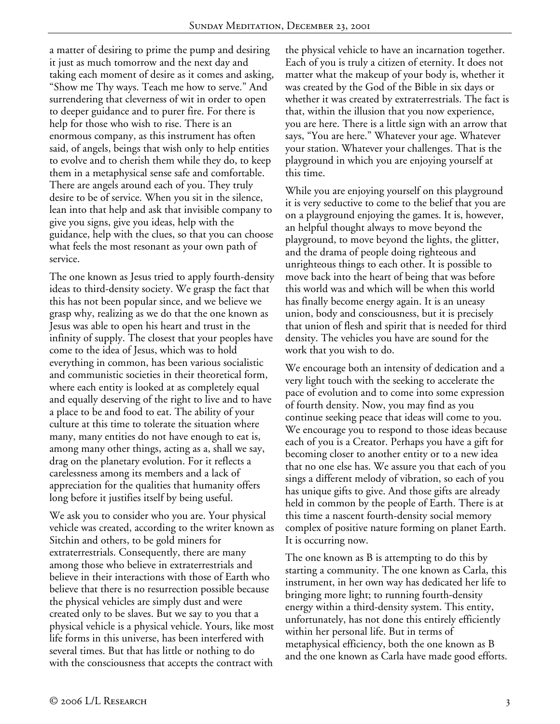a matter of desiring to prime the pump and desiring it just as much tomorrow and the next day and taking each moment of desire as it comes and asking, "Show me Thy ways. Teach me how to serve." And surrendering that cleverness of wit in order to open to deeper guidance and to purer fire. For there is help for those who wish to rise. There is an enormous company, as this instrument has often said, of angels, beings that wish only to help entities to evolve and to cherish them while they do, to keep them in a metaphysical sense safe and comfortable. There are angels around each of you. They truly desire to be of service. When you sit in the silence, lean into that help and ask that invisible company to give you signs, give you ideas, help with the guidance, help with the clues, so that you can choose what feels the most resonant as your own path of service.

The one known as Jesus tried to apply fourth-density ideas to third-density society. We grasp the fact that this has not been popular since, and we believe we grasp why, realizing as we do that the one known as Jesus was able to open his heart and trust in the infinity of supply. The closest that your peoples have come to the idea of Jesus, which was to hold everything in common, has been various socialistic and communistic societies in their theoretical form, where each entity is looked at as completely equal and equally deserving of the right to live and to have a place to be and food to eat. The ability of your culture at this time to tolerate the situation where many, many entities do not have enough to eat is, among many other things, acting as a, shall we say, drag on the planetary evolution. For it reflects a carelessness among its members and a lack of appreciation for the qualities that humanity offers long before it justifies itself by being useful.

We ask you to consider who you are. Your physical vehicle was created, according to the writer known as Sitchin and others, to be gold miners for extraterrestrials. Consequently, there are many among those who believe in extraterrestrials and believe in their interactions with those of Earth who believe that there is no resurrection possible because the physical vehicles are simply dust and were created only to be slaves. But we say to you that a physical vehicle is a physical vehicle. Yours, like most life forms in this universe, has been interfered with several times. But that has little or nothing to do with the consciousness that accepts the contract with

the physical vehicle to have an incarnation together. Each of you is truly a citizen of eternity. It does not matter what the makeup of your body is, whether it was created by the God of the Bible in six days or whether it was created by extraterrestrials. The fact is that, within the illusion that you now experience, you are here. There is a little sign with an arrow that says, "You are here." Whatever your age. Whatever your station. Whatever your challenges. That is the playground in which you are enjoying yourself at this time.

While you are enjoying yourself on this playground it is very seductive to come to the belief that you are on a playground enjoying the games. It is, however, an helpful thought always to move beyond the playground, to move beyond the lights, the glitter, and the drama of people doing righteous and unrighteous things to each other. It is possible to move back into the heart of being that was before this world was and which will be when this world has finally become energy again. It is an uneasy union, body and consciousness, but it is precisely that union of flesh and spirit that is needed for third density. The vehicles you have are sound for the work that you wish to do.

We encourage both an intensity of dedication and a very light touch with the seeking to accelerate the pace of evolution and to come into some expression of fourth density. Now, you may find as you continue seeking peace that ideas will come to you. We encourage you to respond to those ideas because each of you is a Creator. Perhaps you have a gift for becoming closer to another entity or to a new idea that no one else has. We assure you that each of you sings a different melody of vibration, so each of you has unique gifts to give. And those gifts are already held in common by the people of Earth. There is at this time a nascent fourth-density social memory complex of positive nature forming on planet Earth. It is occurring now.

The one known as B is attempting to do this by starting a community. The one known as Carla, this instrument, in her own way has dedicated her life to bringing more light; to running fourth-density energy within a third-density system. This entity, unfortunately, has not done this entirely efficiently within her personal life. But in terms of metaphysical efficiency, both the one known as B and the one known as Carla have made good efforts.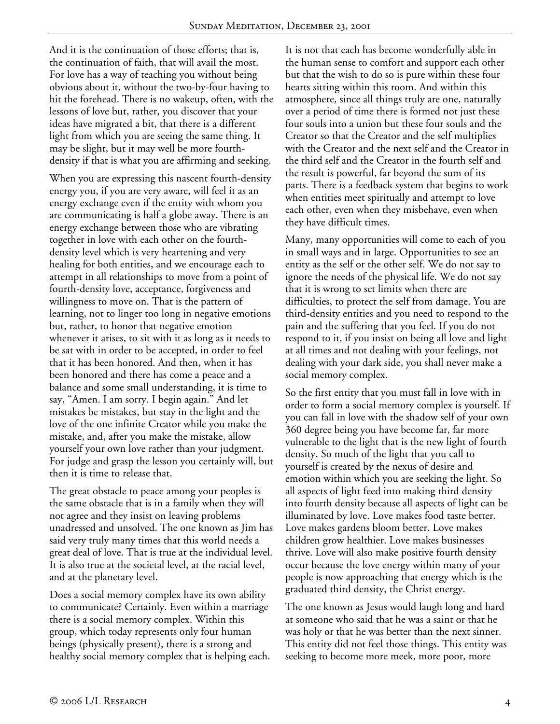And it is the continuation of those efforts; that is, the continuation of faith, that will avail the most. For love has a way of teaching you without being obvious about it, without the two-by-four having to hit the forehead. There is no wakeup, often, with the lessons of love but, rather, you discover that your ideas have migrated a bit, that there is a different light from which you are seeing the same thing. It may be slight, but it may well be more fourthdensity if that is what you are affirming and seeking.

When you are expressing this nascent fourth-density energy you, if you are very aware, will feel it as an energy exchange even if the entity with whom you are communicating is half a globe away. There is an energy exchange between those who are vibrating together in love with each other on the fourthdensity level which is very heartening and very healing for both entities, and we encourage each to attempt in all relationships to move from a point of fourth-density love, acceptance, forgiveness and willingness to move on. That is the pattern of learning, not to linger too long in negative emotions but, rather, to honor that negative emotion whenever it arises, to sit with it as long as it needs to be sat with in order to be accepted, in order to feel that it has been honored. And then, when it has been honored and there has come a peace and a balance and some small understanding, it is time to say, "Amen. I am sorry. I begin again." And let mistakes be mistakes, but stay in the light and the love of the one infinite Creator while you make the mistake, and, after you make the mistake, allow yourself your own love rather than your judgment. For judge and grasp the lesson you certainly will, but then it is time to release that.

The great obstacle to peace among your peoples is the same obstacle that is in a family when they will not agree and they insist on leaving problems unadressed and unsolved. The one known as Jim has said very truly many times that this world needs a great deal of love. That is true at the individual level. It is also true at the societal level, at the racial level, and at the planetary level.

Does a social memory complex have its own ability to communicate? Certainly. Even within a marriage there is a social memory complex. Within this group, which today represents only four human beings (physically present), there is a strong and healthy social memory complex that is helping each.

It is not that each has become wonderfully able in the human sense to comfort and support each other but that the wish to do so is pure within these four hearts sitting within this room. And within this atmosphere, since all things truly are one, naturally over a period of time there is formed not just these four souls into a union but these four souls and the Creator so that the Creator and the self multiplies with the Creator and the next self and the Creator in the third self and the Creator in the fourth self and the result is powerful, far beyond the sum of its parts. There is a feedback system that begins to work when entities meet spiritually and attempt to love each other, even when they misbehave, even when they have difficult times.

Many, many opportunities will come to each of you in small ways and in large. Opportunities to see an entity as the self or the other self. We do not say to ignore the needs of the physical life. We do not say that it is wrong to set limits when there are difficulties, to protect the self from damage. You are third-density entities and you need to respond to the pain and the suffering that you feel. If you do not respond to it, if you insist on being all love and light at all times and not dealing with your feelings, not dealing with your dark side, you shall never make a social memory complex.

So the first entity that you must fall in love with in order to form a social memory complex is yourself. If you can fall in love with the shadow self of your own 360 degree being you have become far, far more vulnerable to the light that is the new light of fourth density. So much of the light that you call to yourself is created by the nexus of desire and emotion within which you are seeking the light. So all aspects of light feed into making third density into fourth density because all aspects of light can be illuminated by love. Love makes food taste better. Love makes gardens bloom better. Love makes children grow healthier. Love makes businesses thrive. Love will also make positive fourth density occur because the love energy within many of your people is now approaching that energy which is the graduated third density, the Christ energy.

The one known as Jesus would laugh long and hard at someone who said that he was a saint or that he was holy or that he was better than the next sinner. This entity did not feel those things. This entity was seeking to become more meek, more poor, more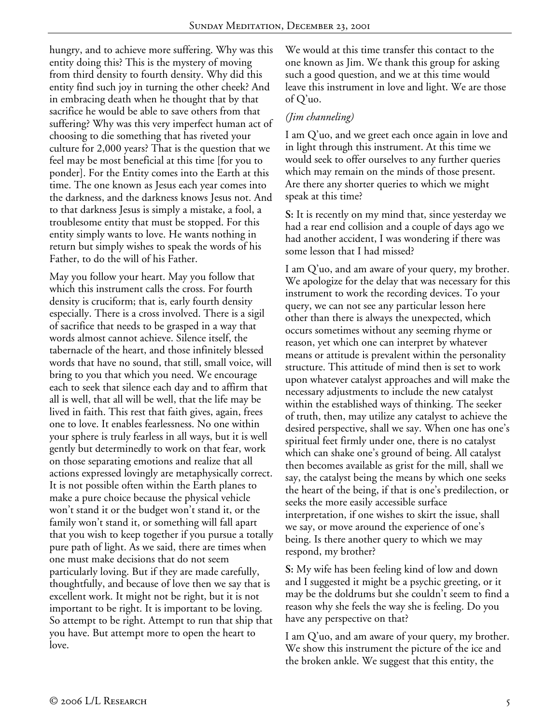hungry, and to achieve more suffering. Why was this entity doing this? This is the mystery of moving from third density to fourth density. Why did this entity find such joy in turning the other cheek? And in embracing death when he thought that by that sacrifice he would be able to save others from that suffering? Why was this very imperfect human act of choosing to die something that has riveted your culture for 2,000 years? That is the question that we feel may be most beneficial at this time [for you to ponder]. For the Entity comes into the Earth at this time. The one known as Jesus each year comes into the darkness, and the darkness knows Jesus not. And to that darkness Jesus is simply a mistake, a fool, a troublesome entity that must be stopped. For this entity simply wants to love. He wants nothing in return but simply wishes to speak the words of his Father, to do the will of his Father.

May you follow your heart. May you follow that which this instrument calls the cross. For fourth density is cruciform; that is, early fourth density especially. There is a cross involved. There is a sigil of sacrifice that needs to be grasped in a way that words almost cannot achieve. Silence itself, the tabernacle of the heart, and those infinitely blessed words that have no sound, that still, small voice, will bring to you that which you need. We encourage each to seek that silence each day and to affirm that all is well, that all will be well, that the life may be lived in faith. This rest that faith gives, again, frees one to love. It enables fearlessness. No one within your sphere is truly fearless in all ways, but it is well gently but determinedly to work on that fear, work on those separating emotions and realize that all actions expressed lovingly are metaphysically correct. It is not possible often within the Earth planes to make a pure choice because the physical vehicle won't stand it or the budget won't stand it, or the family won't stand it, or something will fall apart that you wish to keep together if you pursue a totally pure path of light. As we said, there are times when one must make decisions that do not seem particularly loving. But if they are made carefully, thoughtfully, and because of love then we say that is excellent work. It might not be right, but it is not important to be right. It is important to be loving. So attempt to be right. Attempt to run that ship that you have. But attempt more to open the heart to love.

We would at this time transfer this contact to the one known as Jim. We thank this group for asking such a good question, and we at this time would leave this instrument in love and light. We are those of Q'uo.

## *(Jim channeling)*

I am Q'uo, and we greet each once again in love and in light through this instrument. At this time we would seek to offer ourselves to any further queries which may remain on the minds of those present. Are there any shorter queries to which we might speak at this time?

**S:** It is recently on my mind that, since yesterday we had a rear end collision and a couple of days ago we had another accident, I was wondering if there was some lesson that I had missed?

I am Q'uo, and am aware of your query, my brother. We apologize for the delay that was necessary for this instrument to work the recording devices. To your query, we can not see any particular lesson here other than there is always the unexpected, which occurs sometimes without any seeming rhyme or reason, yet which one can interpret by whatever means or attitude is prevalent within the personality structure. This attitude of mind then is set to work upon whatever catalyst approaches and will make the necessary adjustments to include the new catalyst within the established ways of thinking. The seeker of truth, then, may utilize any catalyst to achieve the desired perspective, shall we say. When one has one's spiritual feet firmly under one, there is no catalyst which can shake one's ground of being. All catalyst then becomes available as grist for the mill, shall we say, the catalyst being the means by which one seeks the heart of the being, if that is one's predilection, or seeks the more easily accessible surface interpretation, if one wishes to skirt the issue, shall we say, or move around the experience of one's being. Is there another query to which we may respond, my brother?

**S:** My wife has been feeling kind of low and down and I suggested it might be a psychic greeting, or it may be the doldrums but she couldn't seem to find a reason why she feels the way she is feeling. Do you have any perspective on that?

I am Q'uo, and am aware of your query, my brother. We show this instrument the picture of the ice and the broken ankle. We suggest that this entity, the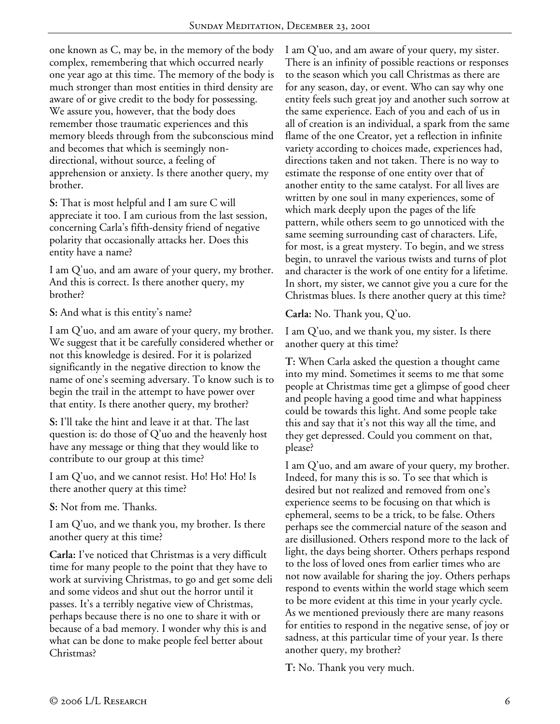one known as C, may be, in the memory of the body complex, remembering that which occurred nearly one year ago at this time. The memory of the body is much stronger than most entities in third density are aware of or give credit to the body for possessing. We assure you, however, that the body does remember those traumatic experiences and this memory bleeds through from the subconscious mind and becomes that which is seemingly nondirectional, without source, a feeling of apprehension or anxiety. Is there another query, my brother.

**S:** That is most helpful and I am sure C will appreciate it too. I am curious from the last session, concerning Carla's fifth-density friend of negative polarity that occasionally attacks her. Does this entity have a name?

I am Q'uo, and am aware of your query, my brother. And this is correct. Is there another query, my brother?

**S:** And what is this entity's name?

I am Q'uo, and am aware of your query, my brother. We suggest that it be carefully considered whether or not this knowledge is desired. For it is polarized significantly in the negative direction to know the name of one's seeming adversary. To know such is to begin the trail in the attempt to have power over that entity. Is there another query, my brother?

**S:** I'll take the hint and leave it at that. The last question is: do those of Q'uo and the heavenly host have any message or thing that they would like to contribute to our group at this time?

I am Q'uo, and we cannot resist. Ho! Ho! Ho! Is there another query at this time?

**S:** Not from me. Thanks.

I am Q'uo, and we thank you, my brother. Is there another query at this time?

**Carla:** I've noticed that Christmas is a very difficult time for many people to the point that they have to work at surviving Christmas, to go and get some deli and some videos and shut out the horror until it passes. It's a terribly negative view of Christmas, perhaps because there is no one to share it with or because of a bad memory. I wonder why this is and what can be done to make people feel better about Christmas?

I am Q'uo, and am aware of your query, my sister. There is an infinity of possible reactions or responses to the season which you call Christmas as there are for any season, day, or event. Who can say why one entity feels such great joy and another such sorrow at the same experience. Each of you and each of us in all of creation is an individual, a spark from the same flame of the one Creator, yet a reflection in infinite variety according to choices made, experiences had, directions taken and not taken. There is no way to estimate the response of one entity over that of another entity to the same catalyst. For all lives are written by one soul in many experiences, some of which mark deeply upon the pages of the life pattern, while others seem to go unnoticed with the same seeming surrounding cast of characters. Life, for most, is a great mystery. To begin, and we stress begin, to unravel the various twists and turns of plot and character is the work of one entity for a lifetime. In short, my sister, we cannot give you a cure for the Christmas blues. Is there another query at this time?

**Carla:** No. Thank you, Q'uo.

I am Q'uo, and we thank you, my sister. Is there another query at this time?

**T:** When Carla asked the question a thought came into my mind. Sometimes it seems to me that some people at Christmas time get a glimpse of good cheer and people having a good time and what happiness could be towards this light. And some people take this and say that it's not this way all the time, and they get depressed. Could you comment on that, please?

I am Q'uo, and am aware of your query, my brother. Indeed, for many this is so. To see that which is desired but not realized and removed from one's experience seems to be focusing on that which is ephemeral, seems to be a trick, to be false. Others perhaps see the commercial nature of the season and are disillusioned. Others respond more to the lack of light, the days being shorter. Others perhaps respond to the loss of loved ones from earlier times who are not now available for sharing the joy. Others perhaps respond to events within the world stage which seem to be more evident at this time in your yearly cycle. As we mentioned previously there are many reasons for entities to respond in the negative sense, of joy or sadness, at this particular time of your year. Is there another query, my brother?

**T:** No. Thank you very much.